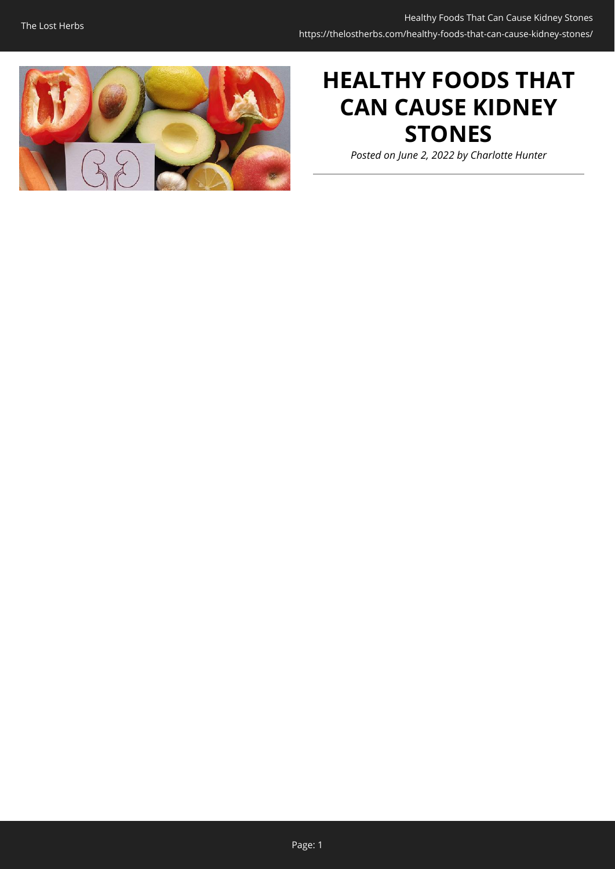

# **HEALTHY FOODS THAT CAN CAUSE KIDNEY STONES**

*Posted on June 2, 2022 by Charlotte Hunter*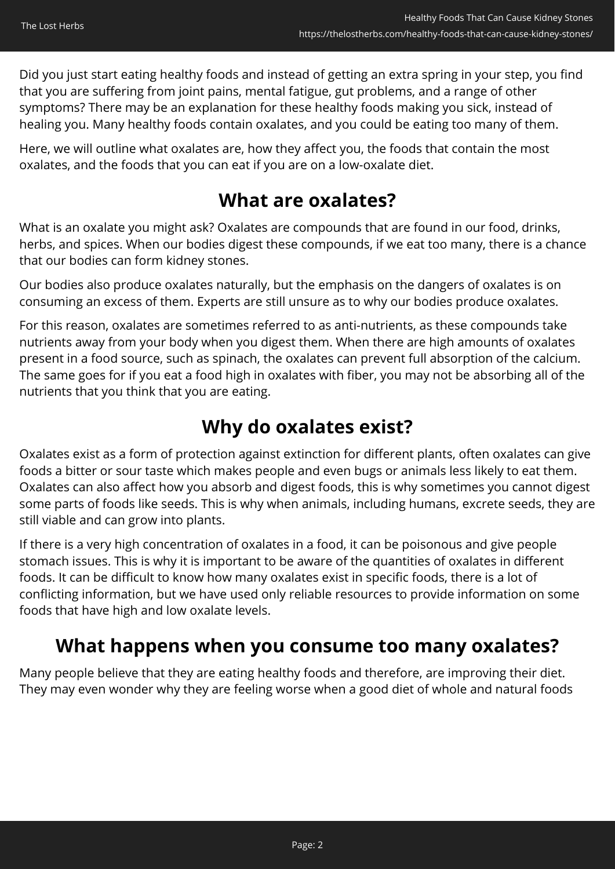Did you just start eating healthy foods and instead of getting an extra spring in your step, you find that you are suffering from joint pains, mental fatigue, gut problems, and a range of other symptoms? There may be an explanation for these healthy foods making you sick, instead of healing you. Many healthy foods contain oxalates, and you could be eating too many of them.

Here, we will outline what oxalates are, how they affect you, the foods that contain the most oxalates, and the foods that you can eat if you are on a low-oxalate diet.

#### **What are oxalates?**

What is an oxalate you might ask? Oxalates are compounds that are found in our food, drinks, herbs, and spices. When our bodies digest these compounds, if we eat too many, there is a chance that our bodies can form kidney stones.

Our bodies also produce oxalates naturally, but the emphasis on the dangers of oxalates is on consuming an excess of them. Experts are still unsure as to why our bodies produce oxalates.

For this reason, oxalates are sometimes referred to as anti-nutrients, as these compounds take nutrients away from your body when you digest them. When there are high amounts of oxalates present in a food source, such as spinach, the oxalates can prevent full absorption of the calcium. The same goes for if you eat a food high in oxalates with fiber, you may not be absorbing all of the nutrients that you think that you are eating.

#### **Why do oxalates exist?**

Oxalates exist as a form of protection against extinction for different plants, often oxalates can give foods a bitter or sour taste which makes people and even bugs or animals less likely to eat them. Oxalates can also affect how you absorb and digest foods, this is why sometimes you cannot digest some parts of foods like seeds. This is why when animals, including humans, excrete seeds, they are still viable and can grow into plants.

If there is a very high concentration of oxalates in a food, it can be poisonous and give people stomach issues. This is why it is important to be aware of the quantities of oxalates in different foods. It can be difficult to know how many oxalates exist in specific foods, there is a lot of conflicting information, but we have used only reliable resources to provide information on some foods that have high and low oxalate levels.

### **What happens when you consume too many oxalates?**

Many people believe that they are eating healthy foods and therefore, are improving their diet. They may even wonder why they are feeling worse when a good diet of whole and natural foods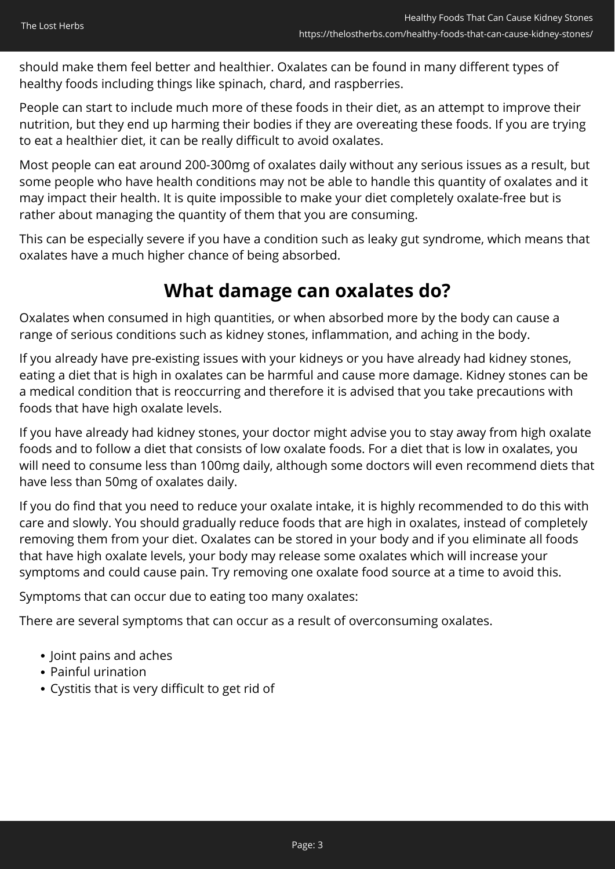should make them feel better and healthier. Oxalates can be found in many different types of healthy foods including things like spinach, chard, and raspberries.

People can start to include much more of these foods in their diet, as an attempt to improve their nutrition, but they end up harming their bodies if they are overeating these foods. If you are trying to eat a healthier diet, it can be really difficult to avoid oxalates.

Most people can eat around 200-300mg of oxalates daily without any serious issues as a result, but some people who have health conditions may not be able to handle this quantity of oxalates and it may impact their health. It is quite impossible to make your diet completely oxalate-free but is rather about managing the quantity of them that you are consuming.

This can be especially severe if you have a condition such as leaky gut syndrome, which means that oxalates have a much higher chance of being absorbed.

#### **What damage can oxalates do?**

Oxalates when consumed in high quantities, or when absorbed more by the body can cause a range of serious conditions such as kidney stones, inflammation, and aching in the body.

If you already have pre-existing issues with your kidneys or you have already had kidney stones, eating a diet that is high in oxalates can be harmful and cause more damage. Kidney stones can be a medical condition that is reoccurring and therefore it is advised that you take precautions with foods that have high oxalate levels.

If you have already had kidney stones, your doctor might advise you to stay away from high oxalate foods and to follow a diet that consists of low oxalate foods. For a diet that is low in oxalates, you will need to consume less than 100mg daily, although some doctors will even recommend diets that have less than 50mg of oxalates daily.

If you do find that you need to reduce your oxalate intake, it is highly recommended to do this with care and slowly. You should gradually reduce foods that are high in oxalates, instead of completely removing them from your diet. Oxalates can be stored in your body and if you eliminate all foods that have high oxalate levels, your body may release some oxalates which will increase your symptoms and could cause pain. Try removing one oxalate food source at a time to avoid this.

Symptoms that can occur due to eating too many oxalates:

There are several symptoms that can occur as a result of overconsuming oxalates.

- Joint pains and aches
- Painful urination
- Cystitis that is very difficult to get rid of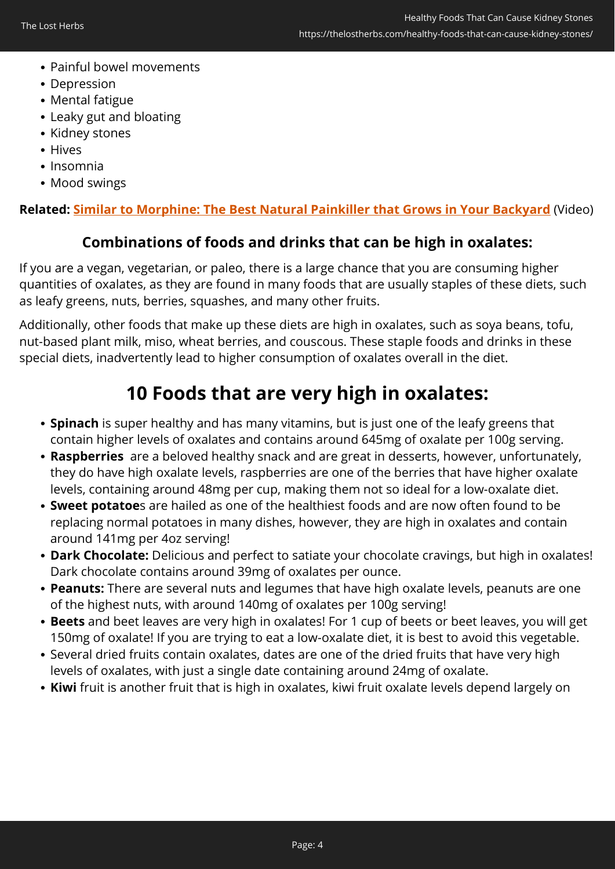- Painful bowel movements
- Depression
- Mental fatigue
- Leaky gut and bloating
- Kidney stones
- Hives
- Insomnia
- Mood swings

#### **Related: [Similar to Morphine: The Best Natural Painkiller that Grows in Your Backyard](https://hop.clickbank.net/?affiliate=easycellar&vendor=lostways&tid=C02OxalatesTLW)** (Video)

#### **Combinations of foods and drinks that can be high in oxalates:**

If you are a vegan, vegetarian, or paleo, there is a large chance that you are consuming higher quantities of oxalates, as they are found in many foods that are usually staples of these diets, such as leafy greens, nuts, berries, squashes, and many other fruits.

Additionally, other foods that make up these diets are high in oxalates, such as soya beans, tofu, nut-based plant milk, miso, wheat berries, and couscous. These staple foods and drinks in these special diets, inadvertently lead to higher consumption of oxalates overall in the diet.

### **10 Foods that are very high in oxalates:**

- **Spinach** is super healthy and has many vitamins, but is just one of the leafy greens that contain higher levels of oxalates and contains around 645mg of oxalate per 100g serving.
- **Raspberries** are a beloved healthy snack and are great in desserts, however, unfortunately, they do have high oxalate levels, raspberries are one of the berries that have higher oxalate levels, containing around 48mg per cup, making them not so ideal for a low-oxalate diet.
- **Sweet potatoe**s are hailed as one of the healthiest foods and are now often found to be replacing normal potatoes in many dishes, however, they are high in oxalates and contain around 141mg per 4oz serving!
- **Dark Chocolate:** Delicious and perfect to satiate your chocolate cravings, but high in oxalates! Dark chocolate contains around 39mg of oxalates per ounce.
- **Peanuts:** There are several nuts and legumes that have high oxalate levels, peanuts are one of the highest nuts, with around 140mg of oxalates per 100g serving!
- **Beets** and beet leaves are very high in oxalates! For 1 cup of beets or beet leaves, you will get 150mg of oxalate! If you are trying to eat a low-oxalate diet, it is best to avoid this vegetable.
- Several dried fruits contain oxalates, dates are one of the dried fruits that have very high levels of oxalates, with just a single date containing around 24mg of oxalate.
- **Kiwi** fruit is another fruit that is high in oxalates, kiwi fruit oxalate levels depend largely on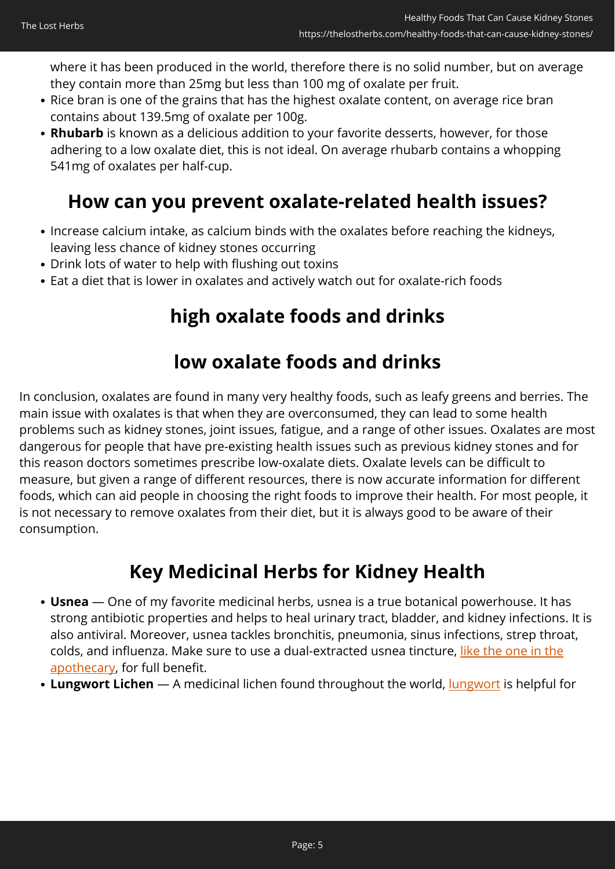where it has been produced in the world, therefore there is no solid number, but on average they contain more than 25mg but less than 100 mg of oxalate per fruit.

- Rice bran is one of the grains that has the highest oxalate content, on average rice bran contains about 139.5mg of oxalate per 100g.
- **Rhubarb** is known as a delicious addition to your favorite desserts, however, for those adhering to a low oxalate diet, this is not ideal. On average rhubarb contains a whopping 541mg of oxalates per half-cup.

### **How can you prevent oxalate-related health issues?**

- Increase calcium intake, as calcium binds with the oxalates before reaching the kidneys, leaving less chance of kidney stones occurring
- Drink lots of water to help with flushing out toxins
- Eat a diet that is lower in oxalates and actively watch out for oxalate-rich foods

#### **high oxalate foods and drinks**

#### **low oxalate foods and drinks**

In conclusion, oxalates are found in many very healthy foods, such as leafy greens and berries. The main issue with oxalates is that when they are overconsumed, they can lead to some health problems such as kidney stones, joint issues, fatigue, and a range of other issues. Oxalates are most dangerous for people that have pre-existing health issues such as previous kidney stones and for this reason doctors sometimes prescribe low-oxalate diets. Oxalate levels can be difficult to measure, but given a range of different resources, there is now accurate information for different foods, which can aid people in choosing the right foods to improve their health. For most people, it is not necessary to remove oxalates from their diet, but it is always good to be aware of their consumption.

#### **Key Medicinal Herbs for Kidney Health**

- **Usnea** One of my favorite medicinal herbs, usnea is a true botanical powerhouse. It has strong antibiotic properties and helps to heal urinary tract, bladder, and kidney infections. It is also antiviral. Moreover, usnea tackles bronchitis, pneumonia, sinus infections, strep throat, colds, and influenza. Make sure to use a dual-extracted usnea tincture, [like the one in the](https://nicolesapothecary.com/collections/all/products/usnea-tincture-spray?rfsn=5642246.05c3d29&utm_source=refersion&utm_medium=affiliate&utm_campaign=5642246.05c3d29&subid=C02OxalatesUTS) [apothecary,](https://nicolesapothecary.com/collections/all/products/usnea-tincture-spray?rfsn=5642246.05c3d29&utm_source=refersion&utm_medium=affiliate&utm_campaign=5642246.05c3d29&subid=C02OxalatesUTS) for full benefit.
- Lungwort Lichen A medicinal lichen found throughout the world, [lungwort](https://nicolesapothecary.com/collections/all/products/bronchial-blend-tincture?rfsn=5642246.05c3d29&utm_source=refersion&utm_medium=affiliate&utm_campaign=5642246.05c3d29&subid=C02OxalatesBBT) is helpful for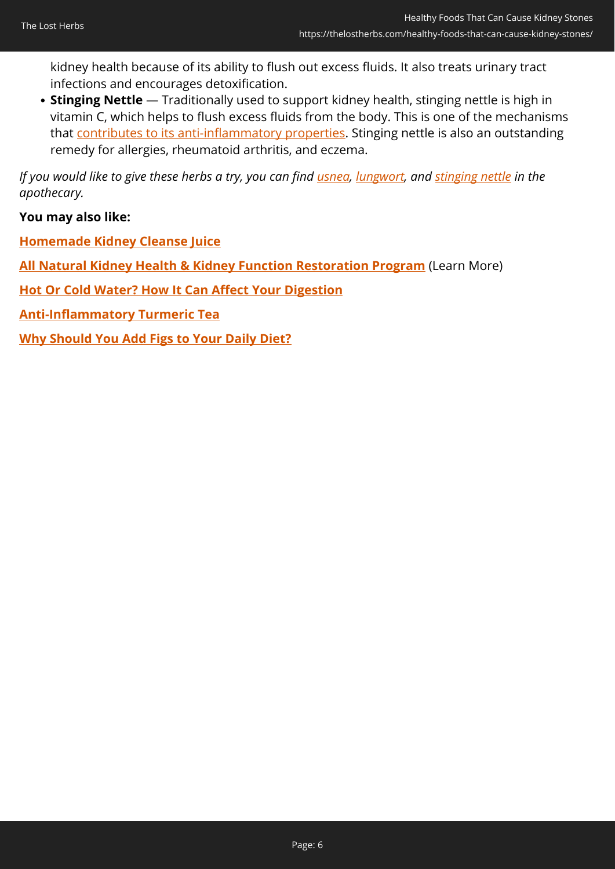kidney health because of its ability to flush out excess fluids. It also treats urinary tract infections and encourages detoxification.

**Stinging Nettle** — Traditionally used to support kidney health, stinging nettle is high in vitamin C, which helps to flush excess fluids from the body. This is one of the mechanisms that [contributes to its anti-inflammatory properties](https://www.ncbi.nlm.nih.gov/pmc/articles/PMC3888705/). Stinging nettle is also an outstanding remedy for allergies, rheumatoid arthritis, and eczema.

*If you would like to give these herbs a try, you can find [usnea,](https://nicolesapothecary.com/collections/all/products/usnea-tincture-spray?rfsn=5642246.05c3d29&utm_source=refersion&utm_medium=affiliate&utm_campaign=5642246.05c3d29&subid=C02OxalatesUTS) [lungwort,](https://nicolesapothecary.com/collections/all/products/bronchial-blend-tincture?rfsn=5642246.05c3d29&utm_source=refersion&utm_medium=affiliate&utm_campaign=5642246.05c3d29&subid=C02OxalatesBBT) and [stinging nettle](https://nicolesapothecary.com/collections/all/products/stinging-nettle-tincture?rfsn=5642246.05c3d29&utm_source=refersion&utm_medium=affiliate&utm_campaign=5642246.05c3d29&subid=C02OxalatesSNT) in the apothecary.*

**You may also like:**

**[Homemade Kidney Cleanse Juice](https://thelostherbs.com/homemade-kidney-cleanse-juice/)**

**[All Natural Kidney Health & Kidney Function Restoration Program](https://84371blg5xrks4x8xisp-2duor.hop.clickbank.net/?tid=C02OxalatesKID)** (Learn More)

**[Hot Or Cold Water? How It Can Affect Your Digestion](https://thelostherbs.com/hot-or-cold-water-how-it-can-affect-your-digestion/)**

**[Anti-Inflammatory Turmeric Tea](https://thelostherbs.com/anti-inflammatory-turmeric-tea/)**

**[Why Should You Add Figs to Your Daily Diet?](https://thelostherbs.com/why-should-you-add-figs-to-your-daily-diet/)**